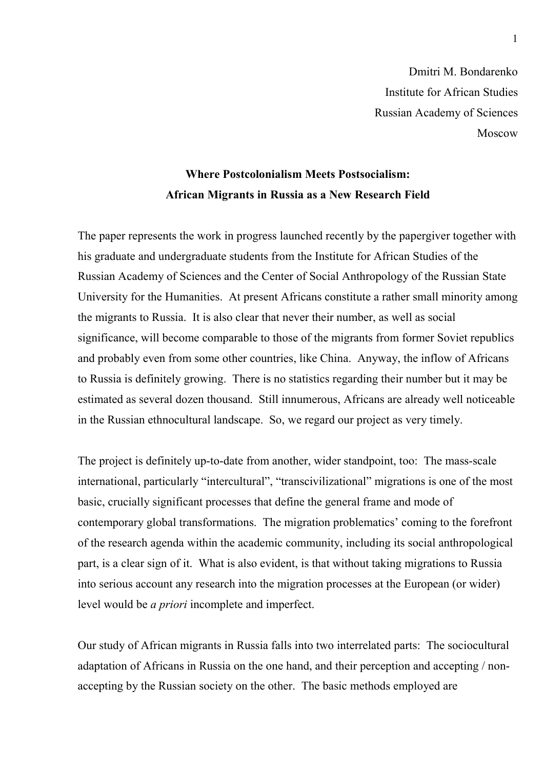Dmitri M. Bondarenko Institute for African Studies Russian Academy of Sciences Moscow

## **Where Postcolonialism Meets Postsocialism: African Migrants in Russia as a New Research Field**

The paper represents the work in progress launched recently by the papergiver together with his graduate and undergraduate students from the Institute for African Studies of the Russian Academy of Sciences and the Center of Social Anthropology of the Russian State University for the Humanities. At present Africans constitute a rather small minority among the migrants to Russia. It is also clear that never their number, as well as social significance, will become comparable to those of the migrants from former Soviet republics and probably even from some other countries, like China. Anyway, the inflow of Africans to Russia is definitely growing. There is no statistics regarding their number but it may be estimated as several dozen thousand. Still innumerous, Africans are already well noticeable in the Russian ethnocultural landscape. So, we regard our project as very timely.

The project is definitely up-to-date from another, wider standpoint, too: The mass-scale international, particularly "intercultural", "transcivilizational" migrations is one of the most basic, crucially significant processes that define the general frame and mode of contemporary global transformations. The migration problematics' coming to the forefront of the research agenda within the academic community, including its social anthropological part, is a clear sign of it. What is also evident, is that without taking migrations to Russia into serious account any research into the migration processes at the European (or wider) level would be *a priori* incomplete and imperfect.

Our study of African migrants in Russia falls into two interrelated parts: The sociocultural adaptation of Africans in Russia on the one hand, and their perception and accepting / nonaccepting by the Russian society on the other. The basic methods employed are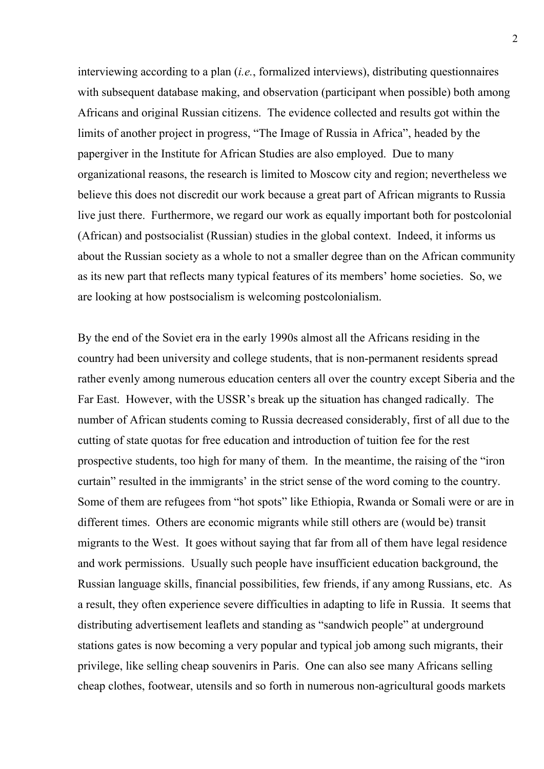interviewing according to a plan (*i.e.*, formalized interviews), distributing questionnaires with subsequent database making, and observation (participant when possible) both among Africans and original Russian citizens. The evidence collected and results got within the limits of another project in progress, "The Image of Russia in Africa", headed by the papergiver in the Institute for African Studies are also employed. Due to many organizational reasons, the research is limited to Moscow city and region; nevertheless we believe this does not discredit our work because a great part of African migrants to Russia live just there. Furthermore, we regard our work as equally important both for postcolonial (African) and postsocialist (Russian) studies in the global context. Indeed, it informs us about the Russian society as a whole to not a smaller degree than on the African community as its new part that reflects many typical features of its members' home societies. So, we are looking at how postsocialism is welcoming postcolonialism.

By the end of the Soviet era in the early 1990s almost all the Africans residing in the country had been university and college students, that is non-permanent residents spread rather evenly among numerous education centers all over the country except Siberia and the Far East. However, with the USSR's break up the situation has changed radically. The number of African students coming to Russia decreased considerably, first of all due to the cutting of state quotas for free education and introduction of tuition fee for the rest prospective students, too high for many of them. In the meantime, the raising of the "iron curtain" resulted in the immigrants' in the strict sense of the word coming to the country. Some of them are refugees from "hot spots" like Ethiopia, Rwanda or Somali were or are in different times. Others are economic migrants while still others are (would be) transit migrants to the West. It goes without saying that far from all of them have legal residence and work permissions. Usually such people have insufficient education background, the Russian language skills, financial possibilities, few friends, if any among Russians, etc. As a result, they often experience severe difficulties in adapting to life in Russia. It seems that distributing advertisement leaflets and standing as "sandwich people" at underground stations gates is now becoming a very popular and typical job among such migrants, their privilege, like selling cheap souvenirs in Paris. One can also see many Africans selling cheap clothes, footwear, utensils and so forth in numerous non-agricultural goods markets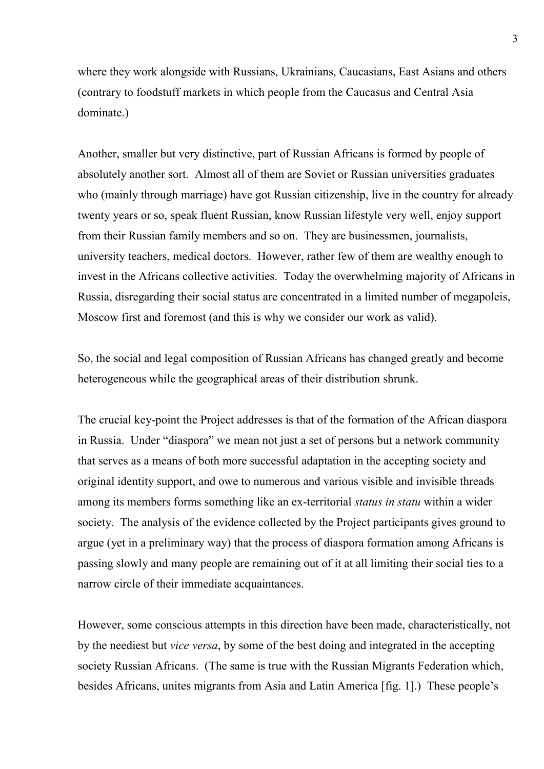where they work alongside with Russians, Ukrainians, Caucasians, East Asians and others (contrary to foodstuff markets in which people from the Caucasus and Central Asia dominate.)

Another, smaller but very distinctive, part of Russian Africans is formed by people of absolutely another sort. Almost all of them are Soviet or Russian universities graduates who (mainly through marriage) have got Russian citizenship, live in the country for already twenty years or so, speak fluent Russian, know Russian lifestyle very well, enjoy support from their Russian family members and so on. They are businessmen, journalists, university teachers, medical doctors. However, rather few of them are wealthy enough to invest in the Africans collective activities. Today the overwhelming majority of Africans in Russia, disregarding their social status are concentrated in a limited number of megapoleis, Moscow first and foremost (and this is why we consider our work as valid).

So, the social and legal composition of Russian Africans has changed greatly and become heterogeneous while the geographical areas of their distribution shrunk.

The crucial key-point the Project addresses is that of the formation of the African diaspora in Russia. Under "diaspora" we mean not just a set of persons but a network community that serves as a means of both more successful adaptation in the accepting society and original identity support, and owe to numerous and various visible and invisible threads among its members forms something like an ex-territorial *status in statu* within a wider society. The analysis of the evidence collected by the Project participants gives ground to argue (yet in a preliminary way) that the process of diaspora formation among Africans is passing slowly and many people are remaining out of it at all limiting their social ties to a narrow circle of their immediate acquaintances.

However, some conscious attempts in this direction have been made, characteristically, not by the neediest but *vice versa*, by some of the best doing and integrated in the accepting society Russian Africans. (The same is true with the Russian Migrants Federation which, besides Africans, unites migrants from Asia and Latin America [fig. 1].) These people's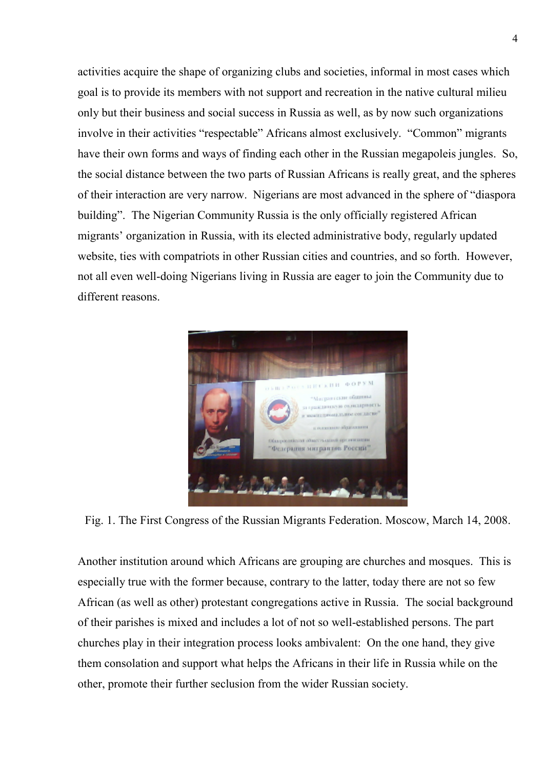activities acquire the shape of organizing clubs and societies, informal in most cases which goal is to provide its members with not support and recreation in the native cultural milieu only but their business and social success in Russia as well, as by now such organizations involve in their activities "respectable" Africans almost exclusively. "Common" migrants have their own forms and ways of finding each other in the Russian megapoleis jungles. So, the social distance between the two parts of Russian Africans is really great, and the spheres of their interaction are very narrow. Nigerians are most advanced in the sphere of "diaspora building". The Nigerian Community Russia is the only officially registered African migrants' organization in Russia, with its elected administrative body, regularly updated website, ties with compatriots in other Russian cities and countries, and so forth. However, not all even well-doing Nigerians living in Russia are eager to join the Community due to different reasons.



Fig. 1. The First Congress of the Russian Migrants Federation. Moscow, March 14, 2008.

Another institution around which Africans are grouping are churches and mosques. This is especially true with the former because, contrary to the latter, today there are not so few African (as well as other) protestant congregations active in Russia. The social background of their parishes is mixed and includes a lot of not so well-established persons. The part churches play in their integration process looks ambivalent: On the one hand, they give them consolation and support what helps the Africans in their life in Russia while on the other, promote their further seclusion from the wider Russian society.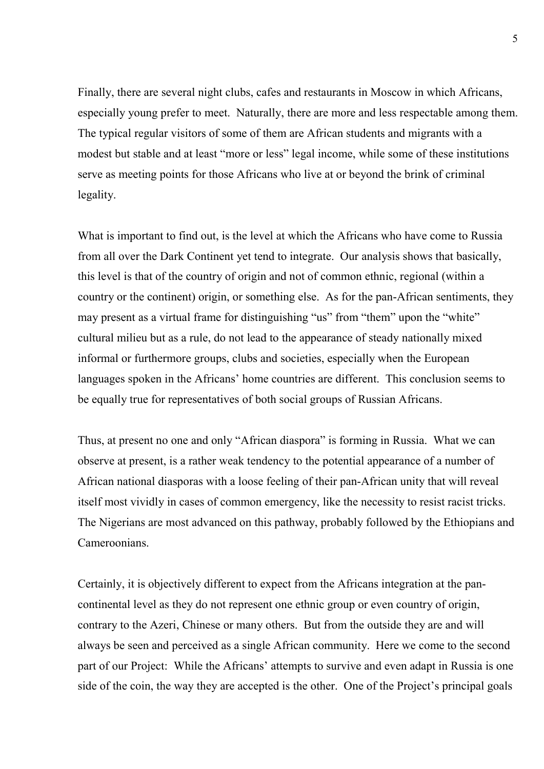Finally, there are several night clubs, cafes and restaurants in Moscow in which Africans, especially young prefer to meet. Naturally, there are more and less respectable among them. The typical regular visitors of some of them are African students and migrants with a modest but stable and at least "more or less" legal income, while some of these institutions serve as meeting points for those Africans who live at or beyond the brink of criminal legality.

What is important to find out, is the level at which the Africans who have come to Russia from all over the Dark Continent yet tend to integrate. Our analysis shows that basically, this level is that of the country of origin and not of common ethnic, regional (within a country or the continent) origin, or something else. As for the pan-African sentiments, they may present as a virtual frame for distinguishing "us" from "them" upon the "white" cultural milieu but as a rule, do not lead to the appearance of steady nationally mixed informal or furthermore groups, clubs and societies, especially when the European languages spoken in the Africans' home countries are different. This conclusion seems to be equally true for representatives of both social groups of Russian Africans.

Thus, at present no one and only "African diaspora" is forming in Russia. What we can observe at present, is a rather weak tendency to the potential appearance of a number of African national diasporas with a loose feeling of their pan-African unity that will reveal itself most vividly in cases of common emergency, like the necessity to resist racist tricks. The Nigerians are most advanced on this pathway, probably followed by the Ethiopians and Cameroonians.

Certainly, it is objectively different to expect from the Africans integration at the pancontinental level as they do not represent one ethnic group or even country of origin, contrary to the Azeri, Chinese or many others. But from the outside they are and will always be seen and perceived as a single African community. Here we come to the second part of our Project: While the Africans' attempts to survive and even adapt in Russia is one side of the coin, the way they are accepted is the other. One of the Project's principal goals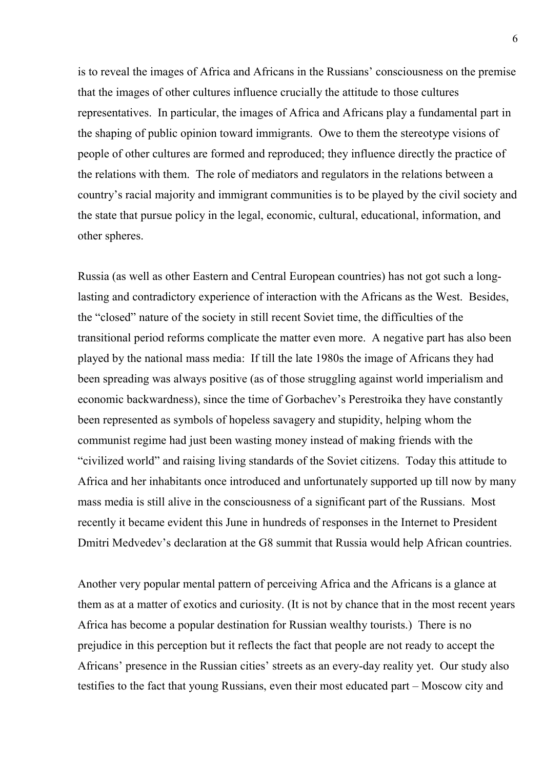is to reveal the images of Africa and Africans in the Russians' consciousness on the premise that the images of other cultures influence crucially the attitude to those cultures representatives. In particular, the images of Africa and Africans play a fundamental part in the shaping of public opinion toward immigrants. Owe to them the stereotype visions of people of other cultures are formed and reproduced; they influence directly the practice of the relations with them. The role of mediators and regulators in the relations between a country's racial majority and immigrant communities is to be played by the civil society and the state that pursue policy in the legal, economic, cultural, educational, information, and other spheres.

Russia (as well as other Eastern and Central European countries) has not got such a longlasting and contradictory experience of interaction with the Africans as the West. Besides, the "closed" nature of the society in still recent Soviet time, the difficulties of the transitional period reforms complicate the matter even more. A negative part has also been played by the national mass media: If till the late 1980s the image of Africans they had been spreading was always positive (as of those struggling against world imperialism and economic backwardness), since the time of Gorbachev's Perestroika they have constantly been represented as symbols of hopeless savagery and stupidity, helping whom the communist regime had just been wasting money instead of making friends with the "civilized world" and raising living standards of the Soviet citizens. Today this attitude to Africa and her inhabitants once introduced and unfortunately supported up till now by many mass media is still alive in the consciousness of a significant part of the Russians. Most recently it became evident this June in hundreds of responses in the Internet to President Dmitri Medvedev's declaration at the G8 summit that Russia would help African countries.

Another very popular mental pattern of perceiving Africa and the Africans is a glance at them as at a matter of exotics and curiosity. (It is not by chance that in the most recent years Africa has become a popular destination for Russian wealthy tourists.) There is no prejudice in this perception but it reflects the fact that people are not ready to accept the Africans' presence in the Russian cities' streets as an every-day reality yet. Our study also testifies to the fact that young Russians, even their most educated part – Moscow city and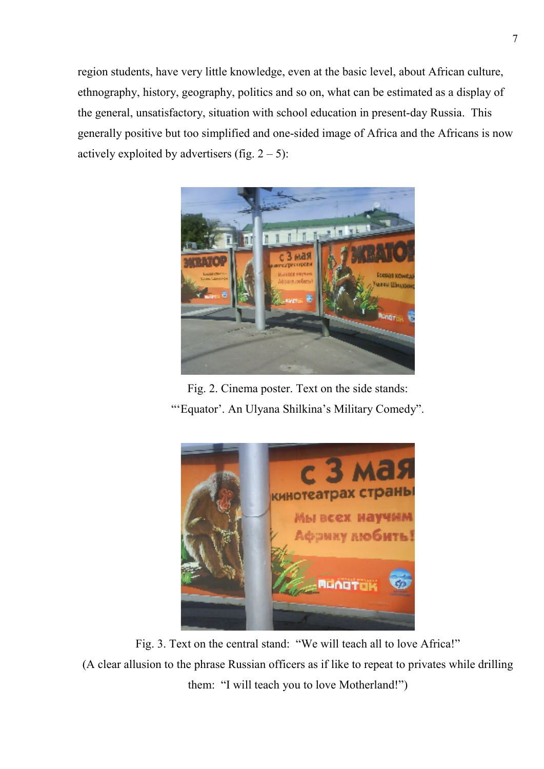region students, have very little knowledge, even at the basic level, about African culture, ethnography, history, geography, politics and so on, what can be estimated as a display of the general, unsatisfactory, situation with school education in present-day Russia. This generally positive but too simplified and one-sided image of Africa and the Africans is now actively exploited by advertisers (fig.  $2 - 5$ ):



Fig. 2. Cinema poster. Text on the side stands: "'Equator'. An Ulyana Shilkina's Military Comedy".



Fig. 3. Text on the central stand: "We will teach all to love Africa!" (A clear allusion to the phrase Russian officers as if like to repeat to privates while drilling them: "I will teach you to love Motherland!")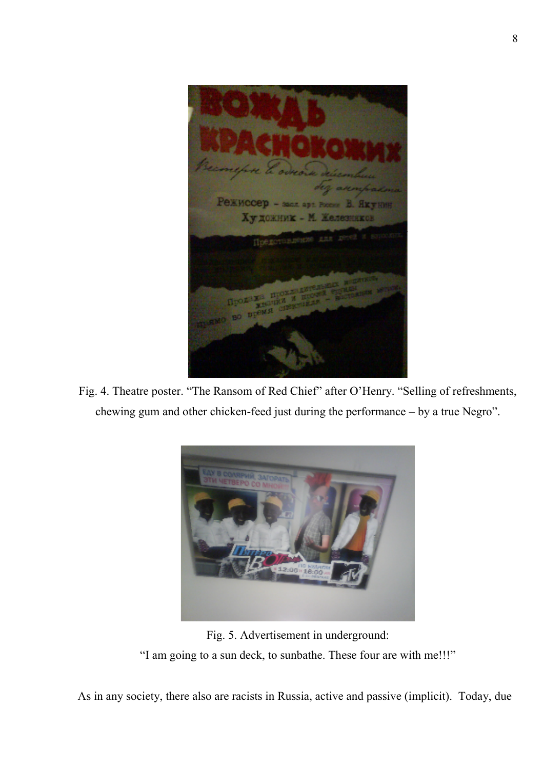Режиссер - засл. арт. Художник - М. Железн  $-10$ 

Fig. 4. Theatre poster. "The Ransom of Red Chief" after O'Henry. "Selling of refreshments, chewing gum and other chicken-feed just during the performance – by a true Negro".



Fig. 5. Advertisement in underground:

"I am going to a sun deck, to sunbathe. These four are with me!!!"

As in any society, there also are racists in Russia, active and passive (implicit). Today, due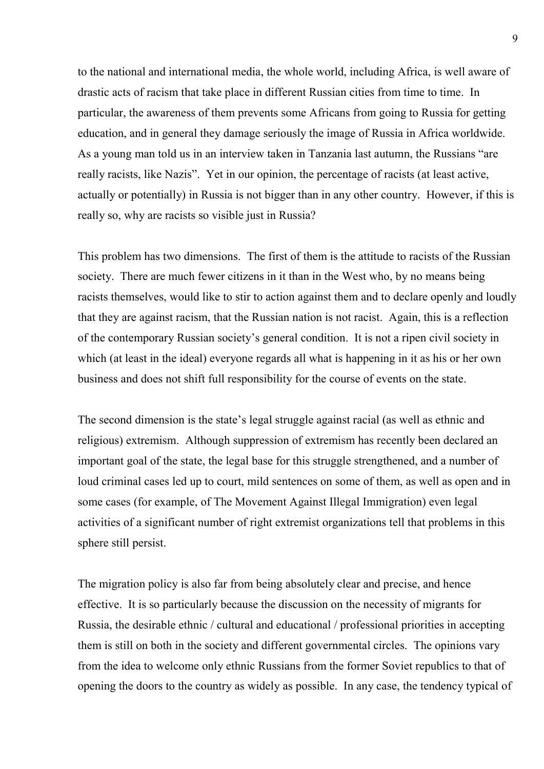to the national and international media, the whole world, including Africa, is well aware of drastic acts of racism that take place in different Russian cities from time to time. In particular, the awareness of them prevents some Africans from going to Russia for getting education, and in general they damage seriously the image of Russia in Africa worldwide. As a young man told us in an interview taken in Tanzania last autumn, the Russians "are really racists, like Nazis". Yet in our opinion, the percentage of racists (at least active, actually or potentially) in Russia is not bigger than in any other country. However, if this is really so, why are racists so visible just in Russia?

This problem has two dimensions. The first of them is the attitude to racists of the Russian society. There are much fewer citizens in it than in the West who, by no means being racists themselves, would like to stir to action against them and to declare openly and loudly that they are against racism, that the Russian nation is not racist. Again, this is a reflection of the contemporary Russian society's general condition. It is not a ripen civil society in which (at least in the ideal) everyone regards all what is happening in it as his or her own business and does not shift full responsibility for the course of events on the state.

The second dimension is the state's legal struggle against racial (as well as ethnic and religious) extremism. Although suppression of extremism has recently been declared an important goal of the state, the legal base for this struggle strengthened, and a number of loud criminal cases led up to court, mild sentences on some of them, as well as open and in some cases (for example, of The Movement Against Illegal Immigration) even legal activities of a significant number of right extremist organizations tell that problems in this sphere still persist.

The migration policy is also far from being absolutely clear and precise, and hence effective. It is so particularly because the discussion on the necessity of migrants for Russia, the desirable ethnic / cultural and educational / professional priorities in accepting them is still on both in the society and different governmental circles. The opinions vary from the idea to welcome only ethnic Russians from the former Soviet republics to that of opening the doors to the country as widely as possible. In any case, the tendency typical of